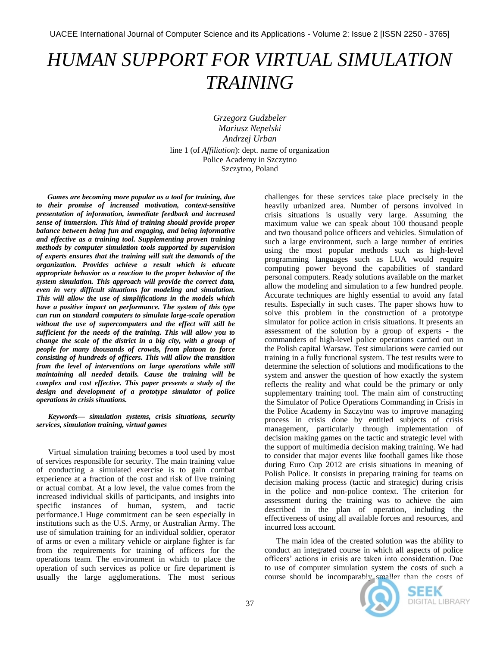## *HUMAN SUPPORT FOR VIRTUAL SIMULATION TRAINING*

*Grzegorz Gudzbeler Mariusz Nepelski Andrzej Urban* line 1 (of *Affiliation*): dept. name of organization Police Academy in Szczytno

Szczytno, Poland

*Games are becoming more popular as a tool for training, due to their promise of increased motivation, context-sensitive presentation of information, immediate feedback and increased sense of immersion. This kind of training should provide proper balance between being fun and engaging, and being informative and effective as a training tool. Supplementing proven training methods by computer simulation tools supported by supervision of experts ensures that the training will suit the demands of the organization. Provides achieve a result which is educate appropriate behavior as a reaction to the proper behavior of the system simulation. This approach will provide the correct data, even in very difficult situations for modeling and simulation. This will allow the use of simplifications in the models which have a positive impact on performance. The system of this type can run on standard computers to simulate large-scale operation without the use of supercomputers and the effect will still be sufficient for the needs of the training. This will allow you to change the scale of the district in a big city, with a group of people for many thousands of crowds, from platoon to force consisting of hundreds of officers. This will allow the transition from the level of interventions on large operations while still maintaining all needed details. Cause the training will be complex and cost effective. This paper presents a study of the design and development of a prototype simulator of police operations in crisis situations.*

*Keywords— simulation systems, crisis situations, security services, simulation training, virtual games*

Virtual simulation training becomes a tool used by most of services responsible for security. The main training value of conducting a simulated exercise is to gain combat experience at a fraction of the cost and risk of live training or actual combat. At a low level, the value comes from the increased individual skills of participants, and insights into specific instances of human, system, and tactic performance.1 Huge commitment can be seen especially in institutions such as the U.S. Army, or Australian Army. The use of simulation training for an individual soldier, operator of arms or even a military vehicle or airplane fighter is far from the requirements for training of officers for the operations team. The environment in which to place the operation of such services as police or fire department is usually the large agglomerations. The most serious

challenges for these services take place precisely in the heavily urbanized area. Number of persons involved in crisis situations is usually very large. Assuming the maximum value we can speak about 100 thousand people and two thousand police officers and vehicles. Simulation of such a large environment, such a large number of entities using the most popular methods such as high-level programming languages such as LUA would require computing power beyond the capabilities of standard personal computers. Ready solutions available on the market allow the modeling and simulation to a few hundred people. Accurate techniques are highly essential to avoid any fatal results. Especially in such cases. The paper shows how to solve this problem in the construction of a prototype simulator for police action in crisis situations. It presents an assessment of the solution by a group of experts - the commanders of high-level police operations carried out in the Polish capital Warsaw. Test simulations were carried out training in a fully functional system. The test results were to determine the selection of solutions and modifications to the system and answer the question of how exactly the system reflects the reality and what could be the primary or only supplementary training tool. The main aim of constructing the Simulator of Police Operations Commanding in Crisis in the Police Academy in Szczytno was to improve managing process in crisis done by entitled subjects of crisis management, particularly through implementation of decision making games on the tactic and strategic level with the support of multimedia decision making training. We had to consider that major events like football games like those during Euro Cup 2012 are crisis situations in meaning of Polish Police. It consists in preparing training for teams on decision making process (tactic and strategic) during crisis in the police and non-police context. The criterion for assessment during the training was to achieve the aim described in the plan of operation, including the effectiveness of using all available forces and resources, and incurred loss account.

The main idea of the created solution was the ability to conduct an integrated course in which all aspects of police officers" actions in crisis are taken into consideration. Due to use of computer simulation system the costs of such a course should be incomparably smaller than the costs of



SEEK **DIGITAL LIBRARY**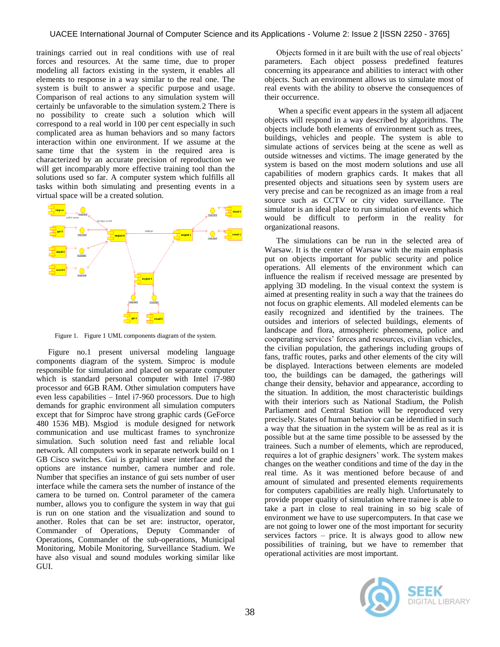trainings carried out in real conditions with use of real forces and resources. At the same time, due to proper modeling all factors existing in the system, it enables all elements to response in a way similar to the real one. The system is built to answer a specific purpose and usage. Comparison of real actions to any simulation system will certainly be unfavorable to the simulation system.2 There is no possibility to create such a solution which will correspond to a real world in 100 per cent especially in such complicated area as human behaviors and so many factors interaction within one environment. If we assume at the same time that the system in the required area is characterized by an accurate precision of reproduction we will get incomparably more effective training tool than the solutions used so far. A computer system which fulfills all tasks within both simulating and presenting events in a virtual space will be a created solution.



Figure 1. Figure 1 UML components diagram of the system.

Figure no.1 present universal modeling language components diagram of the system. Simproc is module responsible for simulation and placed on separate computer which is standard personal computer with Intel i7-980 processor and 6GB RAM. Other simulation computers have even less capabilities – Intel i7-960 processors. Due to high demands for graphic environment all simulation computers except that for Simproc have strong graphic cards (GeForce 480 1536 MB). Msgiod is module designed for network communication and use multicast frames to synchronize simulation. Such solution need fast and reliable local network. All computers work in separate network build on 1 GB Cisco switches. Gui is graphical user interface and the options are instance number, camera number and role. Number that specifies an instance of gui sets number of user interface while the camera sets the number of instance of the camera to be turned on. Control parameter of the camera number, allows you to configure the system in way that gui is run on one station and the visualization and sound to another. Roles that can be set are: instructor, operator, Commander of Operations, Deputy Commander of Operations, Commander of the sub-operations, Municipal Monitoring, Mobile Monitoring, Surveillance Stadium. We have also visual and sound modules working similar like GUI.

Objects formed in it are built with the use of real objects" parameters. Each object possess predefined features concerning its appearance and abilities to interact with other objects. Such an environment allows us to simulate most of real events with the ability to observe the consequences of their occurrence.

When a specific event appears in the system all adjacent objects will respond in a way described by algorithms. The objects include both elements of environment such as trees, buildings, vehicles and people. The system is able to simulate actions of services being at the scene as well as outside witnesses and victims. The image generated by the system is based on the most modern solutions and use all capabilities of modern graphics cards. It makes that all presented objects and situations seen by system users are very precise and can be recognized as an image from a real source such as CCTV or city video surveillance. The simulator is an ideal place to run simulation of events which would be difficult to perform in the reality for organizational reasons.

The simulations can be run in the selected area of Warsaw. It is the center of Warsaw with the main emphasis put on objects important for public security and police operations. All elements of the environment which can influence the realism if received message are presented by applying 3D modeling. In the visual context the system is aimed at presenting reality in such a way that the trainees do not focus on graphic elements. All modeled elements can be easily recognized and identified by the trainees. The outsides and interiors of selected buildings, elements of landscape and flora, atmospheric phenomena, police and cooperating services" forces and resources, civilian vehicles, the civilian population, the gatherings including groups of fans, traffic routes, parks and other elements of the city will be displayed. Interactions between elements are modeled too, the buildings can be damaged, the gatherings will change their density, behavior and appearance, according to the situation. In addition, the most characteristic buildings with their interiors such as National Stadium, the Polish Parliament and Central Station will be reproduced very precisely. States of human behavior can be identified in such a way that the situation in the system will be as real as it is possible but at the same time possible to be assessed by the trainees. Such a number of elements, which are reproduced, requires a lot of graphic designers' work. The system makes changes on the weather conditions and time of the day in the real time. As it was mentioned before because of and amount of simulated and presented elements requirements for computers capabilities are really high. Unfortunately to provide proper quality of simulation where trainee is able to take a part in close to real training in so big scale of environment we have to use supercomputers. In that case we are not going to lower one of the most important for security services factors – price. It is always good to allow new possibilities of training, but we have to remember that operational activities are most important.

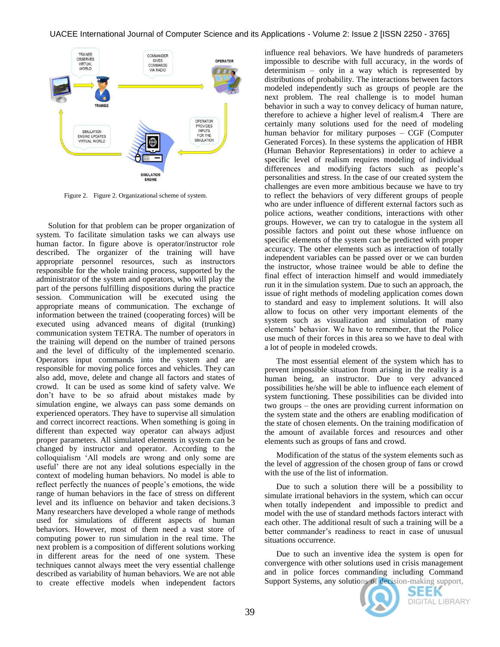

Figure 2. Figure 2. Organizational scheme of system.

Solution for that problem can be proper organization of system. To facilitate simulation tasks we can always use human factor. In figure above is operator/instructor role described. The organizer of the training will have appropriate personnel resources, such as instructors responsible for the whole training process, supported by the administrator of the system and operators, who will play the part of the persons fulfilling dispositions during the practice session. Communication will be executed using the appropriate means of communication. The exchange of information between the trained (cooperating forces) will be executed using advanced means of digital (trunking) communication system TETRA. The number of operators in the training will depend on the number of trained persons and the level of difficulty of the implemented scenario. Operators input commands into the system and are responsible for moving police forces and vehicles. They can also add, move, delete and change all factors and states of crowd. It can be used as some kind of safety valve. We don"t have to be so afraid about mistakes made by simulation engine, we always can pass some demands on experienced operators. They have to supervise all simulation and correct incorrect reactions. When something is going in different than expected way operator can always adjust proper parameters. All simulated elements in system can be changed by instructor and operator. According to the colloquialism "All models are wrong and only some are useful" there are not any ideal solutions especially in the context of modeling human behaviors. No model is able to reflect perfectly the nuances of people"s emotions, the wide range of human behaviors in the face of stress on different level and its influence on behavior and taken decisions.3 Many researchers have developed a whole range of methods used for simulations of different aspects of human behaviors. However, most of them need a vast store of computing power to run simulation in the real time. The next problem is a composition of different solutions working in different areas for the need of one system. These techniques cannot always meet the very essential challenge described as variability of human behaviors. We are not able to create effective models when independent factors

influence real behaviors. We have hundreds of parameters impossible to describe with full accuracy, in the words of determinism – only in a way which is represented by distributions of probability. The interactions between factors modeled independently such as groups of people are the next problem. The real challenge is to model human behavior in such a way to convey delicacy of human nature, therefore to achieve a higher level of realism.4 There are certainly many solutions used for the need of modeling human behavior for military purposes – CGF (Computer Generated Forces). In these systems the application of HBR (Human Behavior Representations) in order to achieve a specific level of realism requires modeling of individual differences and modifying factors such as people"s personalities and stress. In the case of our created system the challenges are even more ambitious because we have to try to reflect the behaviors of very different groups of people who are under influence of different external factors such as police actions, weather conditions, interactions with other groups. However, we can try to catalogue in the system all possible factors and point out these whose influence on specific elements of the system can be predicted with proper accuracy. The other elements such as interaction of totally independent variables can be passed over or we can burden the instructor, whose trainee would be able to define the final effect of interaction himself and would immediately run it in the simulation system. Due to such an approach, the issue of right methods of modeling application comes down to standard and easy to implement solutions. It will also allow to focus on other very important elements of the system such as visualization and simulation of many elements" behavior. We have to remember, that the Police use much of their forces in this area so we have to deal with a lot of people in modeled crowds.

The most essential element of the system which has to prevent impossible situation from arising in the reality is a human being, an instructor. Due to very advanced possibilities he/she will be able to influence each element of system functioning. These possibilities can be divided into two groups – the ones are providing current information on the system state and the others are enabling modification of the state of chosen elements. On the training modification of the amount of available forces and resources and other elements such as groups of fans and crowd.

Modification of the status of the system elements such as the level of aggression of the chosen group of fans or crowd with the use of the list of information.

Due to such a solution there will be a possibility to simulate irrational behaviors in the system, which can occur when totally independent and impossible to predict and model with the use of standard methods factors interact with each other. The additional result of such a training will be a better commander's readiness to react in case of unusual situations occurrence.

Due to such an inventive idea the system is open for convergence with other solutions used in crisis management and in police forces commanding including Command Support Systems, any solutions of decision-making support,